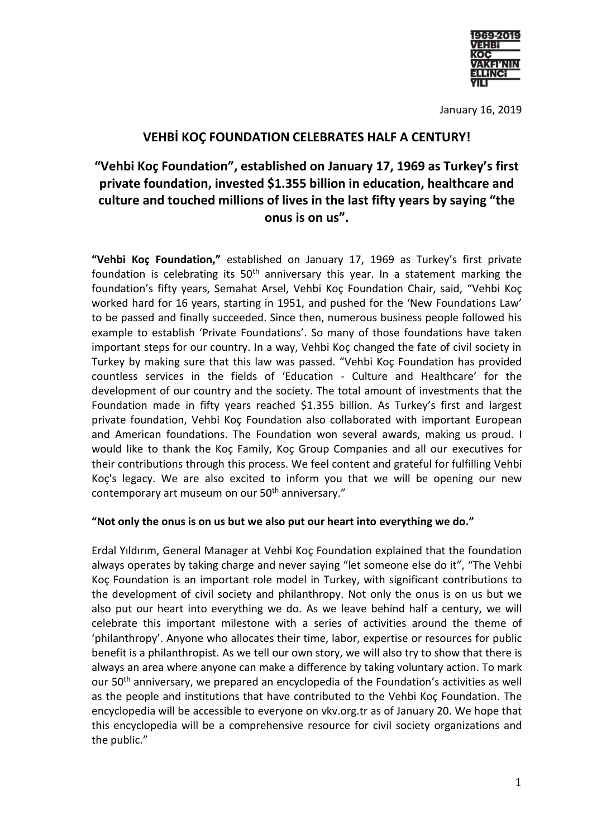

January 16, 2019

## **VEHBİ KOÇ FOUNDATION CELEBRATES HALF A CENTURY!**

# **"Vehbi Koç Foundation", established on January 17, 1969 as Turkey's first private foundation, invested \$1.355 billion in education, healthcare and culture and touched millions of lives in the last fifty years by saying "the onus is on us".**

**"Vehbi Koç Foundation,"** established on January 17, 1969 as Turkey's first private foundation is celebrating its  $50<sup>th</sup>$  anniversary this year. In a statement marking the foundation's fifty years, Semahat Arsel, Vehbi Koç Foundation Chair, said, "Vehbi Koç worked hard for 16 years, starting in 1951, and pushed for the 'New Foundations Law' to be passed and finally succeeded. Since then, numerous business people followed his example to establish 'Private Foundations'. So many of those foundations have taken important steps for our country. In a way, Vehbi Koç changed the fate of civil society in Turkey by making sure that this law was passed. "Vehbi Koç Foundation has provided countless services in the fields of 'Education - Culture and Healthcare' for the development of our country and the society. The total amount of investments that the Foundation made in fifty years reached \$1.355 billion. As Turkey's first and largest private foundation, Vehbi Koç Foundation also collaborated with important European and American foundations. The Foundation won several awards, making us proud. I would like to thank the Koç Family, Koç Group Companies and all our executives for their contributions through this process. We feel content and grateful for fulfilling Vehbi Koç's legacy. We are also excited to inform you that we will be opening our new contemporary art museum on our 50<sup>th</sup> anniversary."

### **"Not only the onus is on us but we also put our heart into everything we do."**

Erdal Yıldırım, General Manager at Vehbi Koç Foundation explained that the foundation always operates by taking charge and never saying "let someone else do it", "The Vehbi Koç Foundation is an important role model in Turkey, with significant contributions to the development of civil society and philanthropy. Not only the onus is on us but we also put our heart into everything we do. As we leave behind half a century, we will celebrate this important milestone with a series of activities around the theme of 'philanthropy'. Anyone who allocates their time, labor, expertise or resources for public benefit is a philanthropist. As we tell our own story, we will also try to show that there is always an area where anyone can make a difference by taking voluntary action. To mark our 50th anniversary, we prepared an encyclopedia of the Foundation's activities as well as the people and institutions that have contributed to the Vehbi Koç Foundation. The encyclopedia will be accessible to everyone on vkv.org.tr as of January 20. We hope that this encyclopedia will be a comprehensive resource for civil society organizations and the public."